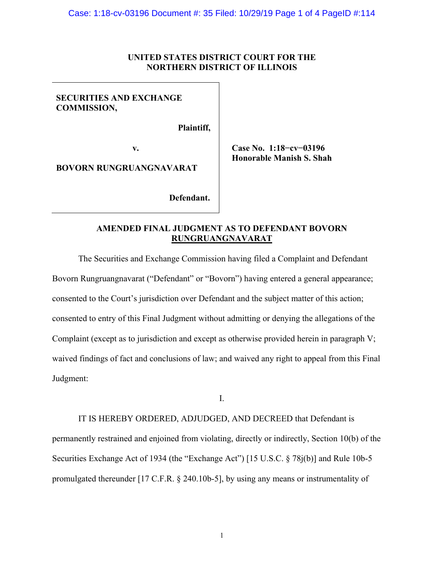## **UNITED STATES DISTRICT COURT FOR THE NORTHERN DISTRICT OF ILLINOIS**

## **SECURITIES AND EXCHANGE COMMISSION,**

 **Plaintiff,** 

**BOVORN RUNGRUANGNAVARAT** 

 **Defendant.** 

**v. Case No. 1:18−cv−03196 Honorable Manish S. Shah** 

# **AMENDED FINAL JUDGMENT AS TO DEFENDANT BOVORN RUNGRUANGNAVARAT**

The Securities and Exchange Commission having filed a Complaint and Defendant Bovorn Rungruangnavarat ("Defendant" or "Bovorn") having entered a general appearance; consented to the Court's jurisdiction over Defendant and the subject matter of this action; consented to entry of this Final Judgment without admitting or denying the allegations of the Complaint (except as to jurisdiction and except as otherwise provided herein in paragraph V; waived findings of fact and conclusions of law; and waived any right to appeal from this Final Judgment:

I.

 IT IS HEREBY ORDERED, ADJUDGED, AND DECREED that Defendant is permanently restrained and enjoined from violating, directly or indirectly, Section 10(b) of the Securities Exchange Act of 1934 (the "Exchange Act") [15 U.S.C. § 78j(b)] and Rule 10b-5 promulgated thereunder [17 C.F.R. § 240.10b-5], by using any means or instrumentality of

1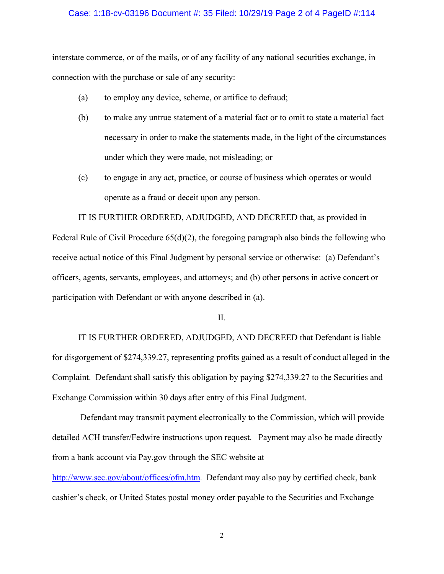### Case: 1:18-cv-03196 Document #: 35 Filed: 10/29/19 Page 2 of 4 PageID #:114

interstate commerce, or of the mails, or of any facility of any national securities exchange, in connection with the purchase or sale of any security:

- (a) to employ any device, scheme, or artifice to defraud;
- (b) to make any untrue statement of a material fact or to omit to state a material fact necessary in order to make the statements made, in the light of the circumstances under which they were made, not misleading; or
- (c) to engage in any act, practice, or course of business which operates or would operate as a fraud or deceit upon any person.

 IT IS FURTHER ORDERED, ADJUDGED, AND DECREED that, as provided in Federal Rule of Civil Procedure 65(d)(2), the foregoing paragraph also binds the following who receive actual notice of this Final Judgment by personal service or otherwise: (a) Defendant's officers, agents, servants, employees, and attorneys; and (b) other persons in active concert or participation with Defendant or with anyone described in (a).

#### II.

IT IS FURTHER ORDERED, ADJUDGED, AND DECREED that Defendant is liable for disgorgement of \$274,339.27, representing profits gained as a result of conduct alleged in the Complaint. Defendant shall satisfy this obligation by paying \$274,339.27 to the Securities and Exchange Commission within 30 days after entry of this Final Judgment.

 Defendant may transmit payment electronically to the Commission, which will provide detailed ACH transfer/Fedwire instructions upon request. Payment may also be made directly from a bank account via Pay.gov through the SEC website at

http://www.sec.gov/about/offices/ofm.htm. Defendant may also pay by certified check, bank cashier's check, or United States postal money order payable to the Securities and Exchange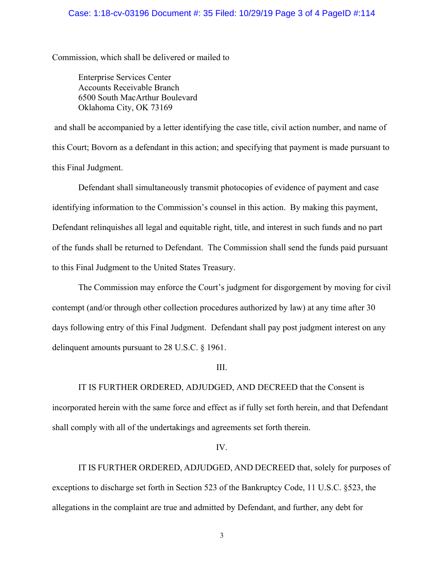## Case: 1:18-cv-03196 Document #: 35 Filed: 10/29/19 Page 3 of 4 PageID #:114

Commission, which shall be delivered or mailed to

Enterprise Services Center Accounts Receivable Branch 6500 South MacArthur Boulevard Oklahoma City, OK 73169

 and shall be accompanied by a letter identifying the case title, civil action number, and name of this Court; Bovorn as a defendant in this action; and specifying that payment is made pursuant to this Final Judgment.

Defendant shall simultaneously transmit photocopies of evidence of payment and case identifying information to the Commission's counsel in this action. By making this payment, Defendant relinquishes all legal and equitable right, title, and interest in such funds and no part of the funds shall be returned to Defendant. The Commission shall send the funds paid pursuant to this Final Judgment to the United States Treasury.

The Commission may enforce the Court's judgment for disgorgement by moving for civil contempt (and/or through other collection procedures authorized by law) at any time after 30 days following entry of this Final Judgment. Defendant shall pay post judgment interest on any delinquent amounts pursuant to 28 U.S.C. § 1961.

III.

 IT IS FURTHER ORDERED, ADJUDGED, AND DECREED that the Consent is incorporated herein with the same force and effect as if fully set forth herein, and that Defendant shall comply with all of the undertakings and agreements set forth therein.

## IV.

IT IS FURTHER ORDERED, ADJUDGED, AND DECREED that, solely for purposes of exceptions to discharge set forth in Section 523 of the Bankruptcy Code, 11 U.S.C. §523, the allegations in the complaint are true and admitted by Defendant, and further, any debt for

3